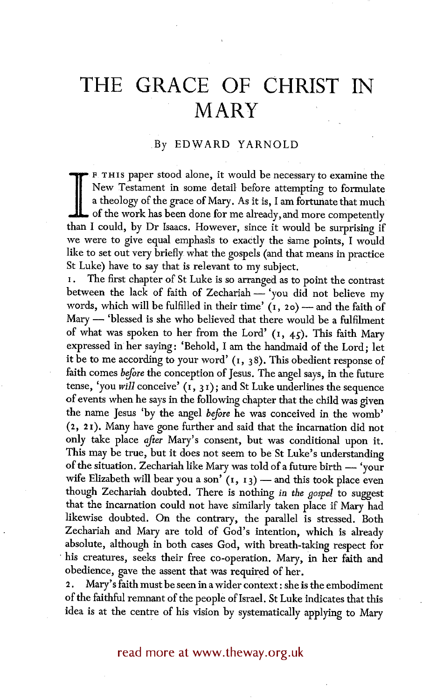# **THE GRACE OF CHRIST IN MARY**

## .By EDWARD YARNOLD

I F THIS paper stood alone, it would be necessary to examine the New Testament in some detail before attempting to formulate a theology of the grace of Mary. As it is, I am fortunate that much of the work has been done for me already, and more competently than I could, by Dr Isaacs. However, since it would be surprising if we were to give equal emphasis to exactly the same points, I would like to set out very briefly what the gospels (and that means in practice St Luke) have to say that is relevant to my subject.

The first chapter of St Luke is so arranged as to point the contrast between the lack of faith of Zechariah - 'you did not believe my words, which will be fulfilled in their time'  $(1, 20)$  -- and the faith of Mary -- 'blessed is she who believed that there would be a fulfilment of what was spoken to her from the Lord'  $(1, 45)$ . This faith Mary expressed in her saying: 'Behold, I am the handmaid of the Lord; let it be to me according to your word'  $(i, 38)$ . This obedient response of faith comes *before the* conception of Jesus. The angel says, in the future tense, 'you *will* conceive' (I, 3 i); and St Luke underlines the sequence of events when he says in the following chapter that the child was given the name Jesus 'by the angel *before* he was conceived in the womb'  $(2, 21)$ . Many have gone further and said that the incarnation did not only take place after Mary's consent, but was conditional upon it. This may be true, but it does not seem to be St Luke's understanding of the situation. Zechariah like Mary was told of a future birth  $-$  'your wife Elizabeth will bear you a son'  $(r, r_3)$  -- and this took place even though Zechariah doubted. There is nothing *in the gospd* to suggest that the incarnation could not have similarly taken place if Mary had likewise doubted. On the contrary, the parallel is stressed. Both Zechariah and Mary are told of God's intention, which is already absolute, although in both cases God, with breath-taking respect for his creatures, seeks their free co-operation. Mary, in her faith and obedience, gave the assent that was required of her.

2. Mary's faith must be seen in a wider context: she is the embodiment of the faithful remnant of the people of Israel. St Luke indicates that this idea is at the centre of his vision by systematically applying to Mary

read more at www.theway.org.uk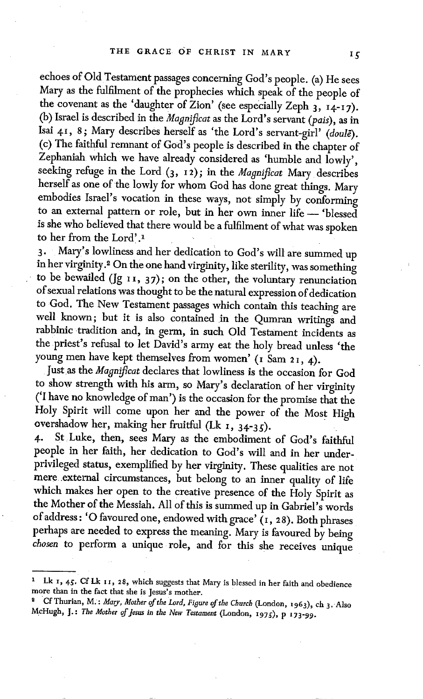echoes of Old Testament passages concerning God's people. (a) He sees Mary as the fulfilment of the prophecies which speak of the people of the covenant as the 'daughter of Zion' (see especially Zeph  $_3$ ,  $_1$ 4-17). (b) Israel is described in the *Magnificat* as the Lord's servant *(pais),* as in Isai 41, 8; Mary describes herself as 'the Lord's servant-girl' *(doule)*. (c) The faithful remnant of God's people is described in the chapter of Zephaniah which we have already considered as 'humble and lowly', seeking refuge in the Lord (3, 12); in the *Magnificat* Mary describes herself as one of the lowly for whom God has done great things. Mary embodies Israel's vocation in these ways, not simply by conforming to an external pattern or role, but in her own inner life -- 'blessed is she who believed that there would be a fulfilment of what was spoken to her from the Lord'.l

3. Mary's lowliness and her dedication to God's will are summed up in her virginity .2 On the one hand virginity, like sterility, was something to be bewailed ( $[g_1, 37)$ ; on the other, the voluntary renunciation of sexual relations was thought to be the natural expression of dedication to God. The New Testament passages which contain this teaching are well known; but it is also contained in the Qumran writings and rabbinic tradition and, in germ, in such Old Testament incidents as the priest's refusal to let David's army eat the holy bread unless 'the young men have kept themselves from women' (1 Sam 21, 4).

Justas the *Magnificat* declares that lowliness is the occasion for God to show strength with his arm, so Mary's declaration of her virginity ('I have no knowledge of man') is the occasion for the promise that the Holy Spirit will come upon her and the power of the Most High overshadow her, making her fruitful (Lk  $_1$ ,  $_3$ 4-35).

4. St Luke, then, sees Mary as the embodiment of God's faithful people in her faith, her dedication to God's will and in her underprivileged status, exemplified by her virginity. These qualities are not mere external circumstances, but belong to an inner quality of life which makes her open to the creative presence of the Holy Spirit as the Mother of the Messiah. All of this is summed up in Gabriel's words of address: 'O favoured one, endowed with grace'  $(i, 28)$ . Both phrases perhaps are needed to express the meaning. Mary is favoured by being *chosen* to perform a unique role, and for this she receives unique

 $15$ 

<sup>&</sup>lt;sup>1</sup> Lk 1, 45. Cf Lk 11, 28, which suggests that Mary is blessed in her faith and obedience more than in the fact that she is Jesus's mother.

Cf Thurian, M.: *Mary, Mother of the Lord, Figure of the Church* (London, i963) , ch 3. Also McHugh, J.: The Mother of Jesus in the New Testament (London, 1975), p 173-99.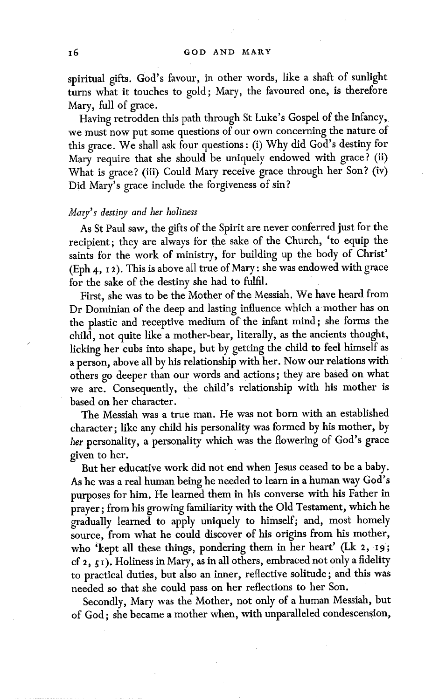spiritual gifts. God's favour, in other words, like a shaft of sunlight turns what it touches to gold; Mary, the favoured one, is therefore Mary, full of grace.

Having retrodden this path through St Luke's Gospel of the Infancy, we must now put some questions of our own concerning the nature of this grace. We shall ask four questions: (i) Why did God's destiny for Mary require that she should be uniquely endowed with grace? (ii) What is grace? (iii) Could Mary receive grace through her Son? (iv) Did Mary's grace include the forgiveness of sin?

### *Mary's destinf and her holiness*

As St Paul saw, the gifts of the Spirit are never conferred just for the recipient; they are always for the sake of the Church, 'to equip the saints for the work of ministry, for building up the body of Christ' (Eph 4, 12). This is above all true of Mary: she was endowed with grace for the sake of the destiny she had to fulfil.

First, she was to be the Mother of the Messiah. We have heard from Dr Dominian of the deep and lasting influence which a mother has on the plastic and receptive medium of the infant mind; she forms the child, not quite like a mother-bear, literally, as the ancients thought, licking her cubs into shape, but by getting the child to feel himself as a person, above all by his relationship with her. Now our relations with others go deeper than our words and actions; they are based on what we are. Consequently, the child's relationship with his mother is based on her character.

The Messiah was a true man. He was not born with an established character; like any child his personality was formed by his mother, by her personality, a personality which was the flowering of God's grace given to her.

But her educative work did not end when Jesus ceased to be a baby. As he was a real human being he needed to learn in a human way God's purposes for him. He learned them in his converse with his Father in prayer; from his growing familiarity with the Old Testament, which he gradually learned to apply uniquely to himself; and, most homely source, from what he could discover of his origins from his mother, who 'kept all these things, pondering them in her heart' (Lk 2, I9; cf 2,  $\zeta$ 1). Holiness in Mary, as in all others, embraced not only a fidelity to practical duties, but also an inner, reflective solitude; and this was needed so that she could pass on her reflections to her Son.

Secondly, Mary was the Mother, not only of a human Messiah, but of God; she became a mother when, with unparalleled condescension,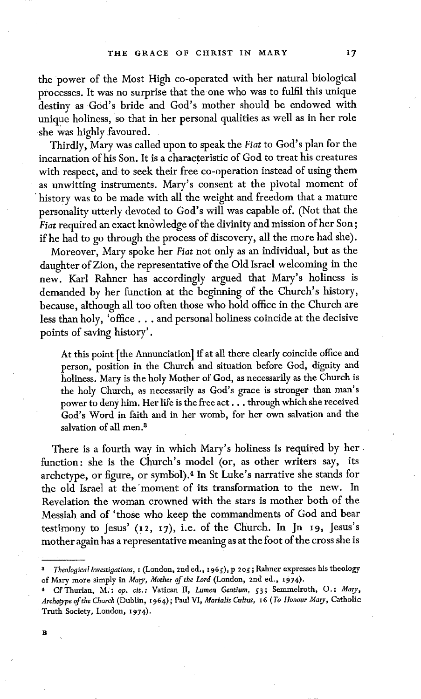the power of the Most High co-operated with her natural biological processes. It was no surprise that the one who was to fulfil this unique destiny as God's bride and God's mother should be endowed with unique holiness, so that in her personal qualities as well as in her role she was highly favoured.

Thirdly, Mary was called upon to speak the *Fiat* to God's plan for the incarnation of his Son. It is a characteristic of God to treat his creatures with respect, and to seek their free co-operation instead of using them as unwitting instruments. Mary's consent at the pivotal moment of history was to be made with all the weight and freedom that a mature personality utterly devoted to God's will was capable of. (Not that the *Fiat required an exact knowledge of the divinity and mission of her Son;* if he had to go through the process of discovery, all the more had she).

Moreover, Mary spoke her *Fiat* not only as an individual, but as the daughter of Zion, the representative of the Old Israel welcoming in the new. Karl Rahner has accordingly argued that Mary's holiness is demanded by her function at the beginning of the Church's history, because, although all too often those who hold office in the Church are less than holy, 'office... and personal holiness coincide at the decisive points of saving history'.

At this point [the Annunciation] if at all there clearly coincide office and person, position in the Church and situation before God, dignity and holiness. Mary is the holy Mother of God, as necessarily as the Church is the holy Church, as necessarily as God's grace is stronger than man's power to deny him. Her life is the free act.., through which she received God's Word in faith and in her womb, for her own salvation and the salvation of all men. $3$ 

There is a fourth way in which Mary's holiness is required by her function: she is the Church's model (or, as other writers say, its archetype, or figure, or symbol).<sup>4</sup> In St Luke's narrative she stands for the old Israel at the "moment of its transformation to the new. In Revelation the woman crowned with the stars is mother both of the Messiah and of 'those who keep the commandments of God and bear testimony to Jesus' (i2, I7), i.e. of the Church. In Jn I9, Jesus's mother again has a representative meaning as at the foot of the cross she is

<sup>&</sup>lt;sup>3</sup> Theological Investigations, I (London, 2nd ed., 1965), p 205; Rahner expresses his theology of Mary more simply in *Mary, Mother of the Lord* (London, 2nd ed., 1974).

<sup>4</sup> Cf Thurian, M~: *op. cir. :* Vatican H, *Lumen Gentium,* 53 ; Semmelroth, O. : *Mary, Archetype of the Church* (Dublin, 1964); Patti VI, *Marialis Cultus, x 6 (To Honour Mary,* Catholic Truth Society, London, I974).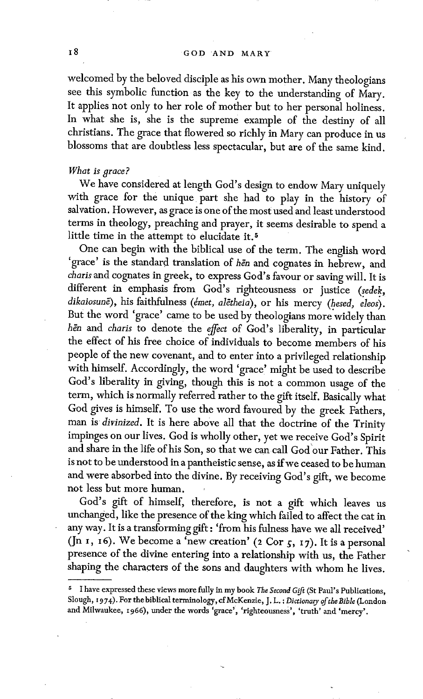welcomed by the beloved disciple as his own mother. Many theologians see this symbolic function as the key to the understanding of Mary. It applies not only to her role of mother but to her personal holiness. In what she is, she is the supreme example of the destiny of all christians. The grace that flowered so richly in Mary can produce in us blossoms that are doubtless less spectacular, but are of the same kind.

#### *What is grace?*

We have considered at length God's design to endow Mary uniquely with grace for the unique part she had to play in the history of salvation. However, as grace is one of the most used and least understood terms in theology, preaching and prayer, it seems desirable to spend a little time in the attempt to elucidate it. 5

One can begin with the biblical use of the term. The english word 'grace' is the standard translation of hen and cognates in hebrew, and *charis* and cognates in greek, to express God's favour or saving will. It is different in emphasis from God's righteousness or justice (sedek, dikaiosunē), his faithfulness *(émet, alētheia)*, or his mercy *(hesed, eleos)*. But the word 'grace' came to be used by theologians more widely than hen and *charis* to denote the *effect* of God's liberality, in particular the effect of his free choice of individuals to become members of his people of the new covenant, and to enter into a privileged relationship with himself. Accordingly, the word 'grace' might be used to describe God's liberality in giving, though this is not a common usage of the term, which is normally referred rather to the gift itself. Basically what God gives is himself. To use the word favoured by the greek Fathers, man is *divinized.* It is here above all that the doctrine of the Trinity impinges on our lives. God is wholly other, yet we receive God's Spirit and share in the life of his Son, so that we can call God'our Father. This is not to be understood in a pantheistic sense, as if we ceased to be human and were absorbed into the divine. By receiving God's gift, we become not less but more human.

God's gift of himself, therefore, is not a gift which leaves us unchanged, like the presence of the king which failed to affect the cat in any way. It is a transforming gift : 'from his fulness have we all received' (Jn 1, 16). We become a 'new creation' (2 Cor  $\zeta$ , 17). It is a personal presence of the divine entering into a relationship with us, the Father shaping the characters of the sons and daughters with whom he lives.

<sup>5</sup> I have expressed these views more fully in my book *The Second Gift* (St Paul's Publications, Slough, 1974). For the biblical terminology, cf McKenzie, J. L. : *Dictionary of the Bible* (London and Milwaukee, r966), under the words 'grace', 'righteousness', 'truth' and 'mercy'.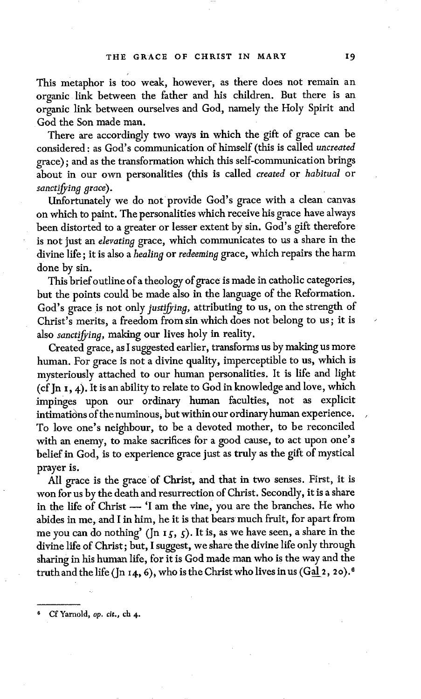This metaphor is too weak, however, as there does not remain an organic link between the father and his children. But there is an organic link between ourselves and God, namely the Holy Spirit and God the Son made man.

There are accordingly two ways in which the gift of grace can be considered: as God's communication of himself (this is called *uncreated*  grace); and as the transformation which this self-communication brings about in our own personalities (this is called *created* or *habitual* or *sanctifying grace).* 

Unfortunately we do not provide God's grace with a clean canvas on which to paint. The personalities which receive his grace have always been distorted to a greater or lesser extent by sin. God's gift therefore is not just an *elevating* grace, which communicates to us a share in the divine life; it is also a *healing* or *redeeming* grace, which repairs the harm done by sin.

This brief outline of a theology of grace is made in catholic categories, but the points could be made also in the language of the Reformation. God's grace is not only *justifying,* attributing to us, on the strength of Christ's merits, a freedom from sin which does not belong to us; it is also *sanctifying,* making our lives holy in reality.

Created grace, as I suggested earlier, transforms us by making us more human. For grace is not a divine quality, imperceptible to us, which is mysteriously attached to our human personalities. It is life and light (cf Jn  $i$ , 4). It is an ability to relate to God in knowledge and love, which impinges upon our ordinary human faculties, not as explicit intimations of the numinous, but within our ordinary human experience. To love one's neighbour, to be a devoted mother, to be reconciled with an enemy, to make sacrifices for a good cause, to act upon one's belief in God, is to experience grace just as truly as the gift of mystical prayer is.

All grace is the grace of Christ, and that in two senses. First, it is won for us by the death and resurrection of Christ. Secondly, it is a share in the life of Christ -- 'I am the vine, you are the branches. He who abides in me, and I in him, he it is that bears much fruit, for apart from me you can do nothing' ( $\ln i_5$ ,  $\zeta$ ). It is, as we have seen, a share in the divine life of Christ; but, I suggest, we share the divine life only through sharing in his human life, for it is God made man who is the way and the truth and the life (Jn 14, 6), who is the Christ who lives in us (Gal 2, 20).<sup>6</sup>

Cf Yarnold, *op. cit.*, *ch* 4.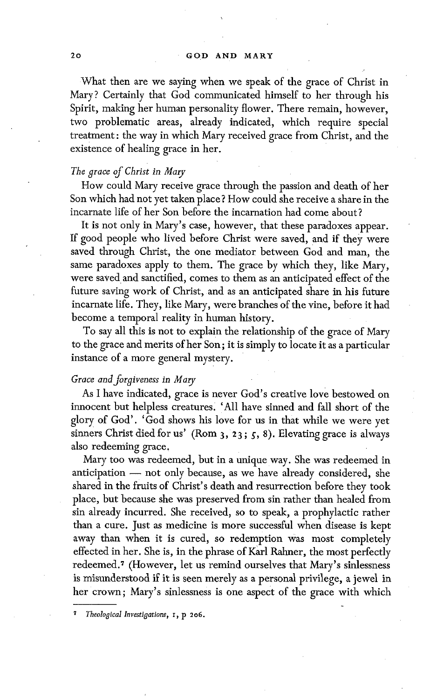What then are we saying when we speak of the grace of Christ in Mary? Certainly that God communicated himself to her through his Spirit, making her human personality flower. There remain, however, two problematic areas, already indicated, which require special treatment: the way in which Mary received grace from Christ, and the existence of healing grace in her.

#### *The grace of Christ in Mary*

How could Mary receive grace through the passion and death of her Son which had not yet taken place ? How could she receive a share in the incarnate life of her Son before the incarnation had come about?

It is not only in Mary's case, however, that these paradoxes appear. If good people who lived before Christ were saved, and if they were saved through Christ, the one mediator between God and man, the same paradoxes apply to them. The grace by which they, like Mary, were saved and sanctified, comes to them as an anticipated effect of the future saving work of Christ, and as an anticipated share in his future incarnate life. They, like Mary, were branches of the vine, before it had become a temporal reality in human history.

To say all this is not to explain the relationship of the grace of Mary to the grace and merits of her Son; it is simply to locate it as a particular instance of a more general mystery.

#### *Grace and forgiveness in Mary*

As I have indicated, grace is never God's creative love bestowed on innocent but helpless creatures. 'All have sinned and fall short of the glory of God'. 'God shows his love for us in that while we were yet sinners Christ died for us' (Rom  $3, 23; 5, 8$ ). Elevating grace is always also redeeming grace,

Mary too was redeemed, but in a unique way. She was redeemed in anticipation  $-$  not only because, as we have already considered, she shared in the fruits of Christ's death and resurrection before they took place, but because she was preserved from sin rather than healed from sin already incurred. She received, so to speak, a prophylactic rather than a cure. Just as medicine is more successful when disease is kept away than when it is cured, so redemption was most completely effected in her. She is, in the phrase of Karl Rahner, the most perfectly redeemed.<sup>7</sup> (However, let us remind ourselves that Mary's sinlessness is misunderstood if it is seen merely as a personal privilege, a jewel in her crown; Mary's sinlessness is one aspect of the grace with which

*Theological Investigations*,  $I$ , p 206.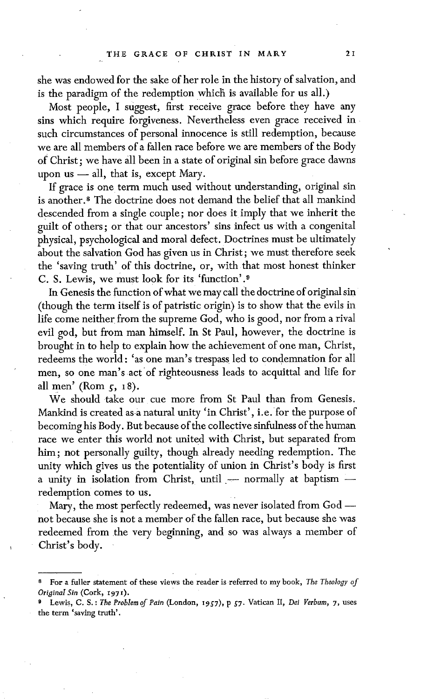she was endowed for the sake of her role in the history of salvation, and is the paradigm of the redemption which is available for us all.)

Most people, I suggest, first receive grace before they have any sins which require forgiveness. Nevertheless even grace received in such circumstances of personal innocence is still redemption, because we are all members of a fallen race before we are members of the Body of Christ; we have all been in a state of original sin before grace dawns upon us  $-$  all, that is, except Mary.

If grace is one term much used without understanding, original sin is another.<sup>8</sup> The doctrine does not demand the belief that all mankind descended from a single couple; nor does it imply that we inherit the guilt of others ; or that our ancestors' sins infect us with a congenital physical, psychological and moral defect. Doctrines must be ultimately about the salvation God has given us in Christ; we must therefore seek the 'saving truth' of this doctrine, or, with that most honest thinker C. S. Lewis, we must look for its 'function'.9

In Genesis the function of what we may call the doctrine of original sin (though the term itself is of patristic origin) is to show that the evils in life come neither from the supreme God, who is good, nor from a rival evil god, but from man himself. In St Paul, however, the doctrine is brought in to help to explain how the achievement of one man, Christ, redeems the world: 'as one man's trespass led to condemnation for all men, so one man's act of righteousness leads to acquittal and life for all men' (Rom  $\zeta$ , 18).

We should take our cue more from St Paul than from Genesis. Mankind is created as-a natural unity 'in Christ', i.e. for the purpose of becoming his Body. But because of the collective sinfulness of the human race we enter this world not united with Christ, but separated from him; not personally guilty, though already needing redemption. The unity which gives us the potentiality of union in Christ's body is first a unity in isolation from Christ, until  $-$  normally at baptism  $$ redemption comes to us.

Mary, the most perfectly redeemed, was never isolated from  $God$ not because she is not a member of the fallen race, but because she was redeemed from the very beginning, and so was always a member of Christ's body.

For a fuller statement of these views the reader is referred to my book, *The Theology of Original Sin* (Cork, I970.

Lewis, C. S. : *The Problem of Pain* (London, 1957), p 57. Vatican II, *Dei Verbum*, 7, uses the term 'saving truth'.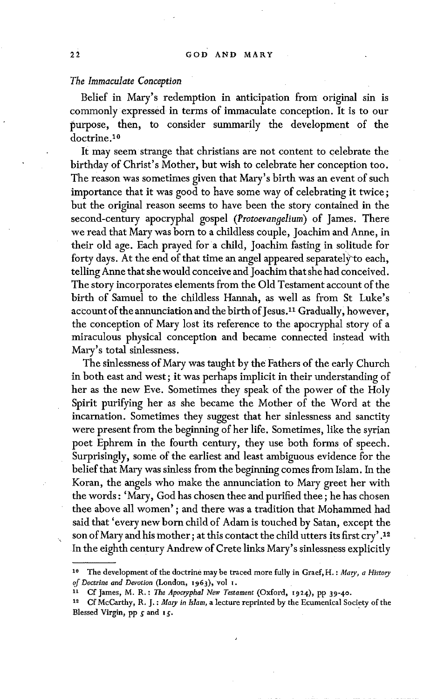#### *The Immaculate Conception*

Belief in Mary's redemption in anticipation from original sin is commonly expressed in terms of immaculate conception. It is to our purpose, then, to consider summarily the development of the doctrine.<sup>10</sup>

It may seem strange that christians are not content to celebrate the birthday of Christ's Mother, but wish to celebrate her conception too. The reason was sometimes given that Mary's birth was an event of such importance that it was good to have some way of celebrating it twice; but the original reason seems to have been the story contained in the second-century apocryphal gospel *(Protoevangelium)* of James. There we read that Mary was born to a childless couple, Joachim and Anne, in their old age. Each prayed for a child, Joachim fasting in solitude for forty days. At the end of that time an angel appeared separately'to each, telling Anne that she would conceive and Joachim that she had conceived. The story incorporates elements from the Old Testament account of the birth of Samuel to the childless Hannah, as well as from St Luke's account of the annunciation and the birth of Jesus.<sup>11</sup> Gradually, however, the conception of Mary lost its reference to the apocryphal story of a miraculous physical conception and became connected instead with Mary's total sinlessness.

The sinlessness of Mary was taught by the Fathers of the early Church in both east and west; it was perhaps implicit in their understanding of her as the new Eve. Sometimes they speak of the power of the Holy Spirit purifying her as she became the Mother of the Word at the incarnation. Sometimes they suggest that her sinlessness and sanctity were present from the beginning of her life. Sometimes, like the syrian poet Ephrem in the fourth century, they use both forms of speech. Surprisingly, some of the earliest and least ambiguous evidence for the belief that Mary was sinless from the beginning comes from Islam. In the Koran, the angels who make the annunciation to Mary greet her with the words : 'Mary, God has chosen thee and purified thee; he has chosen thee above all women' ; and there was a tradition that Mohammed had said that 'every new born child of Adam is touched by Satan, except the son of Mary and his mother; at this contact the child utters its first cry'.<sup>12</sup> In the eighth century Andrew of Crete links Mary's sinlessness explicitly

<sup>&</sup>lt;sup>10</sup> The development of the doctrine may be traced more fully in Graef, H.: Mary, a History of Doctrine and Devotion (London, 1963), vol 1.

xl Cf James, M. R. : *The Apocryphal New Testament* (Oxford, t924), pp 39-4o.

<sup>12</sup> Cf McCarthy, R. J. : *Mary in Islam,* a lecture reprinted by the Ecumenical Society of the Blessed Virgin, pp  $s$  and  $1s$ .